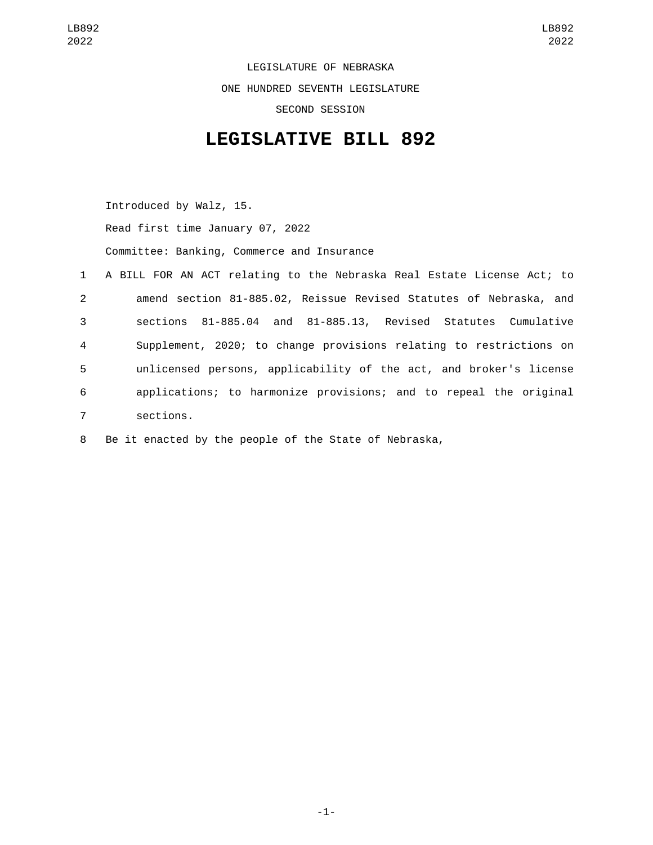LEGISLATURE OF NEBRASKA ONE HUNDRED SEVENTH LEGISLATURE SECOND SESSION

## **LEGISLATIVE BILL 892**

Introduced by Walz, 15. Read first time January 07, 2022 Committee: Banking, Commerce and Insurance

|                | 1 A BILL FOR AN ACT relating to the Nebraska Real Estate License Act; to |
|----------------|--------------------------------------------------------------------------|
| $\overline{2}$ | amend section 81-885.02, Reissue Revised Statutes of Nebraska, and       |
| 3              | sections 81-885.04 and 81-885.13, Revised Statutes Cumulative            |
| 4              | Supplement, 2020; to change provisions relating to restrictions on       |
| 5              | unlicensed persons, applicability of the act, and broker's license       |
| 6              | applications; to harmonize provisions; and to repeal the original        |
| $\overline{7}$ | sections.                                                                |

8 Be it enacted by the people of the State of Nebraska,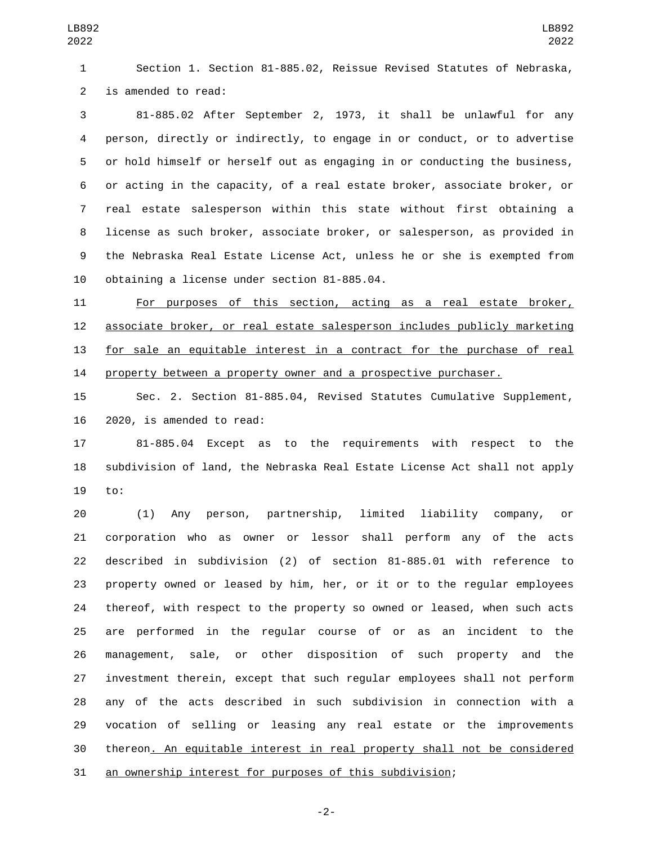Section 1. Section 81-885.02, Reissue Revised Statutes of Nebraska, 2 is amended to read:

 81-885.02 After September 2, 1973, it shall be unlawful for any person, directly or indirectly, to engage in or conduct, or to advertise or hold himself or herself out as engaging in or conducting the business, or acting in the capacity, of a real estate broker, associate broker, or real estate salesperson within this state without first obtaining a license as such broker, associate broker, or salesperson, as provided in the Nebraska Real Estate License Act, unless he or she is exempted from 10 obtaining a license under section 81-885.04.

 For purposes of this section, acting as a real estate broker, associate broker, or real estate salesperson includes publicly marketing for sale an equitable interest in a contract for the purchase of real 14 property between a property owner and a prospective purchaser.

 Sec. 2. Section 81-885.04, Revised Statutes Cumulative Supplement, 16 2020, is amended to read:

 81-885.04 Except as to the requirements with respect to the subdivision of land, the Nebraska Real Estate License Act shall not apply 19 to:

 (1) Any person, partnership, limited liability company, or corporation who as owner or lessor shall perform any of the acts described in subdivision (2) of section 81-885.01 with reference to property owned or leased by him, her, or it or to the regular employees thereof, with respect to the property so owned or leased, when such acts are performed in the regular course of or as an incident to the management, sale, or other disposition of such property and the investment therein, except that such regular employees shall not perform any of the acts described in such subdivision in connection with a vocation of selling or leasing any real estate or the improvements thereon. An equitable interest in real property shall not be considered 31 an ownership interest for purposes of this subdivision;

-2-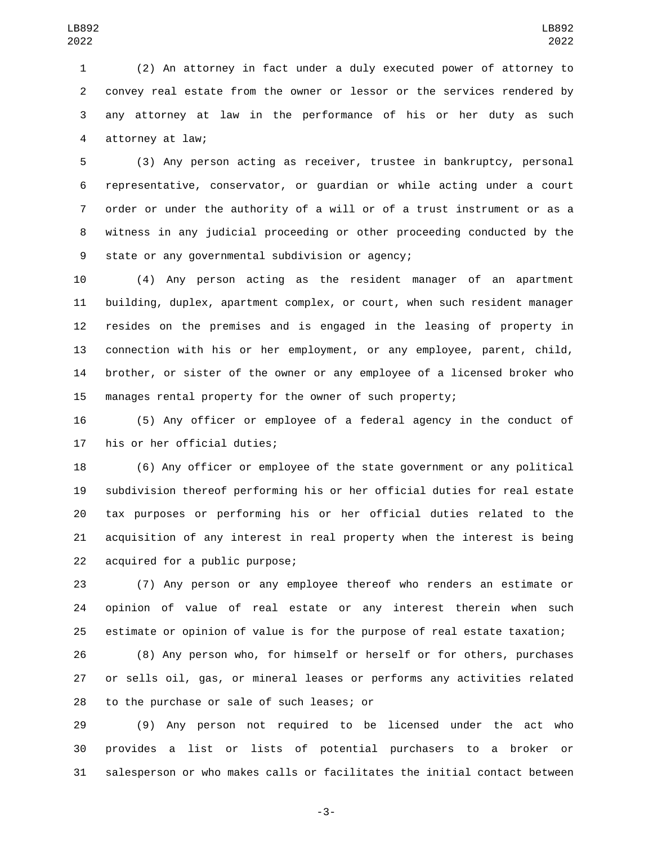(2) An attorney in fact under a duly executed power of attorney to convey real estate from the owner or lessor or the services rendered by any attorney at law in the performance of his or her duty as such 4 attorney at law;

 (3) Any person acting as receiver, trustee in bankruptcy, personal representative, conservator, or guardian or while acting under a court order or under the authority of a will or of a trust instrument or as a witness in any judicial proceeding or other proceeding conducted by the 9 state or any governmental subdivision or agency;

 (4) Any person acting as the resident manager of an apartment building, duplex, apartment complex, or court, when such resident manager resides on the premises and is engaged in the leasing of property in connection with his or her employment, or any employee, parent, child, brother, or sister of the owner or any employee of a licensed broker who manages rental property for the owner of such property;

 (5) Any officer or employee of a federal agency in the conduct of 17 his or her official duties;

 (6) Any officer or employee of the state government or any political subdivision thereof performing his or her official duties for real estate tax purposes or performing his or her official duties related to the acquisition of any interest in real property when the interest is being 22 acquired for a public purpose;

 (7) Any person or any employee thereof who renders an estimate or opinion of value of real estate or any interest therein when such estimate or opinion of value is for the purpose of real estate taxation;

 (8) Any person who, for himself or herself or for others, purchases or sells oil, gas, or mineral leases or performs any activities related 28 to the purchase or sale of such leases; or

 (9) Any person not required to be licensed under the act who provides a list or lists of potential purchasers to a broker or salesperson or who makes calls or facilitates the initial contact between

-3-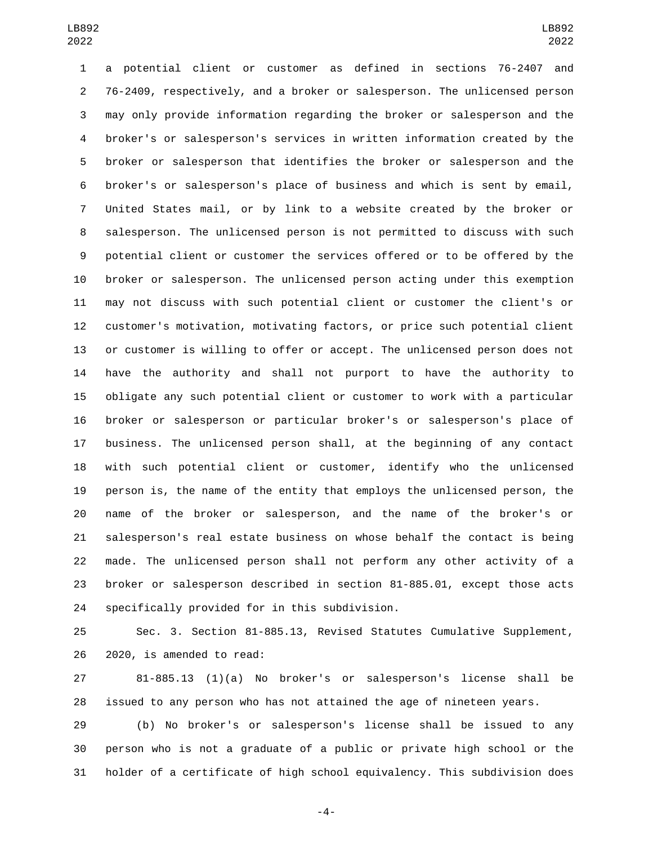a potential client or customer as defined in sections 76-2407 and 76-2409, respectively, and a broker or salesperson. The unlicensed person may only provide information regarding the broker or salesperson and the broker's or salesperson's services in written information created by the broker or salesperson that identifies the broker or salesperson and the broker's or salesperson's place of business and which is sent by email, United States mail, or by link to a website created by the broker or salesperson. The unlicensed person is not permitted to discuss with such potential client or customer the services offered or to be offered by the broker or salesperson. The unlicensed person acting under this exemption may not discuss with such potential client or customer the client's or customer's motivation, motivating factors, or price such potential client or customer is willing to offer or accept. The unlicensed person does not have the authority and shall not purport to have the authority to obligate any such potential client or customer to work with a particular broker or salesperson or particular broker's or salesperson's place of business. The unlicensed person shall, at the beginning of any contact with such potential client or customer, identify who the unlicensed person is, the name of the entity that employs the unlicensed person, the name of the broker or salesperson, and the name of the broker's or salesperson's real estate business on whose behalf the contact is being made. The unlicensed person shall not perform any other activity of a broker or salesperson described in section 81-885.01, except those acts 24 specifically provided for in this subdivision.

 Sec. 3. Section 81-885.13, Revised Statutes Cumulative Supplement, 26 2020, is amended to read:

 81-885.13 (1)(a) No broker's or salesperson's license shall be issued to any person who has not attained the age of nineteen years.

 (b) No broker's or salesperson's license shall be issued to any person who is not a graduate of a public or private high school or the holder of a certificate of high school equivalency. This subdivision does

-4-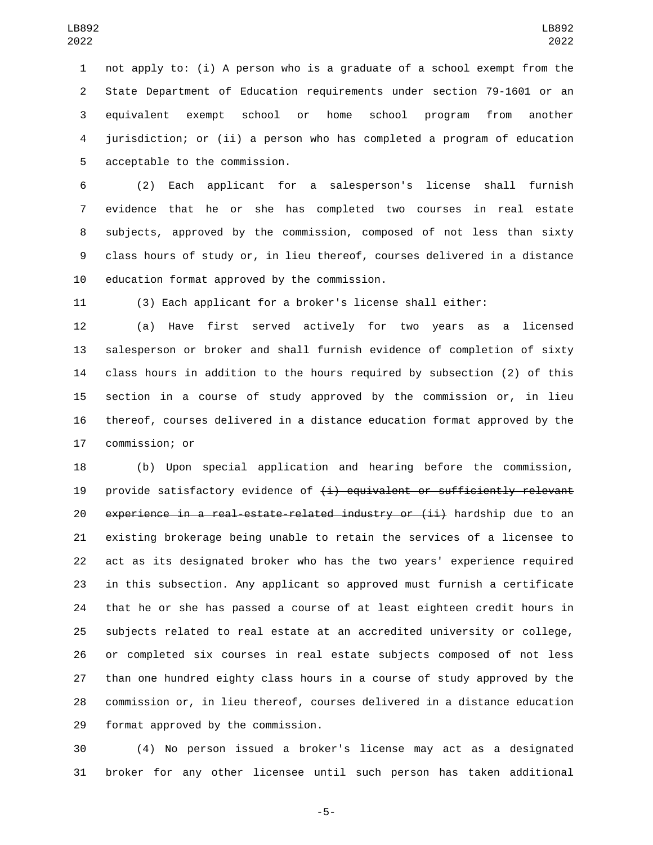not apply to: (i) A person who is a graduate of a school exempt from the State Department of Education requirements under section 79-1601 or an equivalent exempt school or home school program from another jurisdiction; or (ii) a person who has completed a program of education 5 acceptable to the commission.

 (2) Each applicant for a salesperson's license shall furnish evidence that he or she has completed two courses in real estate subjects, approved by the commission, composed of not less than sixty class hours of study or, in lieu thereof, courses delivered in a distance 10 education format approved by the commission.

(3) Each applicant for a broker's license shall either:

 (a) Have first served actively for two years as a licensed salesperson or broker and shall furnish evidence of completion of sixty class hours in addition to the hours required by subsection (2) of this section in a course of study approved by the commission or, in lieu thereof, courses delivered in a distance education format approved by the 17 commission; or

 (b) Upon special application and hearing before the commission, 19 provide satisfactory evidence of  $(i)$  equivalent or sufficiently relevant 20 experience in a real-estate-related industry or (ii) hardship due to an existing brokerage being unable to retain the services of a licensee to act as its designated broker who has the two years' experience required in this subsection. Any applicant so approved must furnish a certificate that he or she has passed a course of at least eighteen credit hours in subjects related to real estate at an accredited university or college, or completed six courses in real estate subjects composed of not less than one hundred eighty class hours in a course of study approved by the commission or, in lieu thereof, courses delivered in a distance education 29 format approved by the commission.

 (4) No person issued a broker's license may act as a designated broker for any other licensee until such person has taken additional

-5-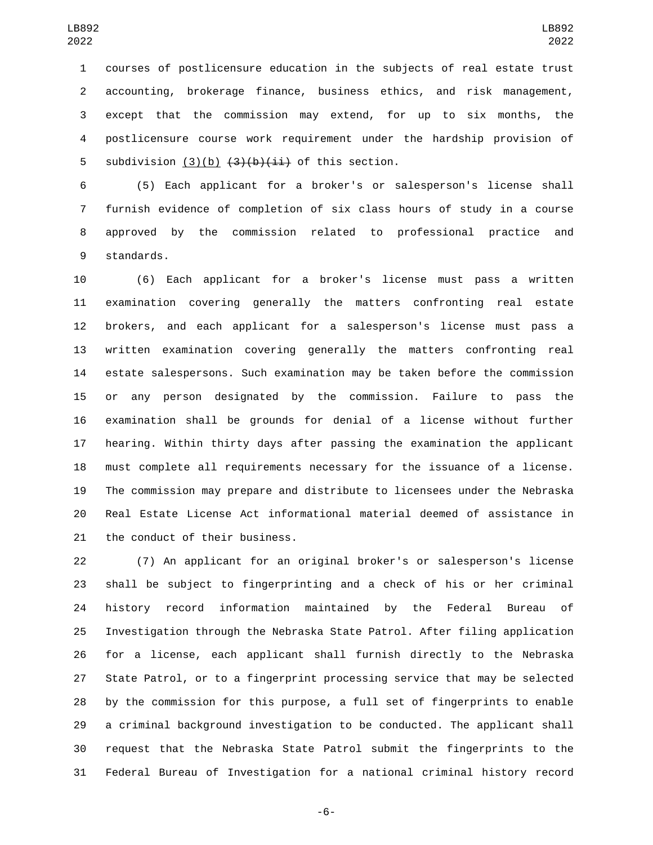courses of postlicensure education in the subjects of real estate trust accounting, brokerage finance, business ethics, and risk management, except that the commission may extend, for up to six months, the postlicensure course work requirement under the hardship provision of 5 subdivision  $(3)(b)$   $(3)(b)$   $(1)(b)$   $(i)$  of this section.

 (5) Each applicant for a broker's or salesperson's license shall furnish evidence of completion of six class hours of study in a course approved by the commission related to professional practice and 9 standards.

 (6) Each applicant for a broker's license must pass a written examination covering generally the matters confronting real estate brokers, and each applicant for a salesperson's license must pass a written examination covering generally the matters confronting real estate salespersons. Such examination may be taken before the commission or any person designated by the commission. Failure to pass the examination shall be grounds for denial of a license without further hearing. Within thirty days after passing the examination the applicant must complete all requirements necessary for the issuance of a license. The commission may prepare and distribute to licensees under the Nebraska Real Estate License Act informational material deemed of assistance in 21 the conduct of their business.

 (7) An applicant for an original broker's or salesperson's license shall be subject to fingerprinting and a check of his or her criminal history record information maintained by the Federal Bureau of Investigation through the Nebraska State Patrol. After filing application for a license, each applicant shall furnish directly to the Nebraska State Patrol, or to a fingerprint processing service that may be selected by the commission for this purpose, a full set of fingerprints to enable a criminal background investigation to be conducted. The applicant shall request that the Nebraska State Patrol submit the fingerprints to the Federal Bureau of Investigation for a national criminal history record

-6-